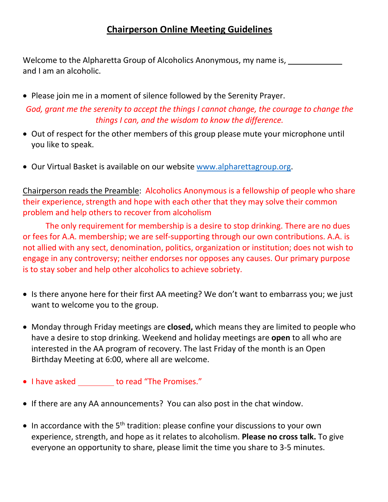Welcome to the Alpharetta Group of Alcoholics Anonymous, my name is, and I am an alcoholic.

- Please join me in a moment of silence followed by the Serenity Prayer. *God, grant me the serenity to accept the things I cannot change, the courage to change the things I can, and the wisdom to know the difference.*
- Out of respect for the other members of this group please mute your microphone until you like to speak.
- Our Virtual Basket is available on our website [www.alpharettagroup.org.](http://www.alpharettagroup.org/)

Chairperson reads the Preamble: Alcoholics Anonymous is a fellowship of people who share their experience, strength and hope with each other that they may solve their common problem and help others to recover from alcoholism

The only requirement for membership is a desire to stop drinking. There are no dues or fees for A.A. membership; we are self-supporting through our own contributions. A.A. is not allied with any sect, denomination, politics, organization or institution; does not wish to engage in any controversy; neither endorses nor opposes any causes. Our primary purpose is to stay sober and help other alcoholics to achieve sobriety.

- Is there anyone here for their first AA meeting? We don't want to embarrass you; we just want to welcome you to the group.
- Monday through Friday meetings are **closed,** which means they are limited to people who have a desire to stop drinking. Weekend and holiday meetings are **open** to all who are interested in the AA program of recovery. The last Friday of the month is an Open Birthday Meeting at 6:00, where all are welcome.
- I have asked \_\_\_\_\_\_\_\_ to read "The Promises."
- If there are any AA announcements? You can also post in the chat window.
- In accordance with the  $5<sup>th</sup>$  tradition: please confine your discussions to your own experience, strength, and hope as it relates to alcoholism. **Please no cross talk.** To give everyone an opportunity to share, please limit the time you share to 3-5 minutes.